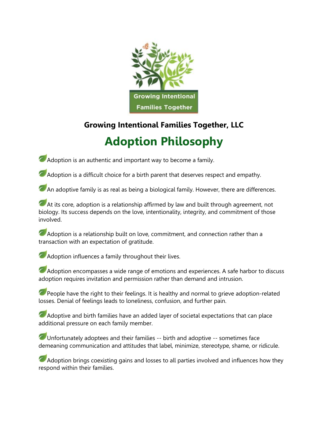

## **Growing Intentional Families Together, LLC**

## **Adoption Philosophy**

Adoption is an authentic and important way to become a family.

Adoption is a difficult choice for a birth parent that deserves respect and empathy.

An adoptive family is as real as being a biological family. However, there are differences.

At its core, adoption is a relationship affirmed by law and built through agreement, not biology. Its success depends on the love, intentionality, integrity, and commitment of those involved.

Adoption is a relationship built on love, commitment, and connection rather than a transaction with an expectation of gratitude.

**Adoption influences a family throughout their lives.** 

Adoption encompasses a wide range of emotions and experiences. A safe harbor to discuss adoption requires invitation and permission rather than demand and intrusion.

People have the right to their feelings. It is healthy and normal to grieve adoption-related losses. Denial of feelings leads to loneliness, confusion, and further pain.

Adoptive and birth families have an added layer of societal expectations that can place additional pressure on each family member.

Unfortunately adoptees and their families -- birth and adoptive -- sometimes face demeaning communication and attitudes that label, minimize, stereotype, shame, or ridicule.

Adoption brings coexisting gains and losses to all parties involved and influences how they respond within their families.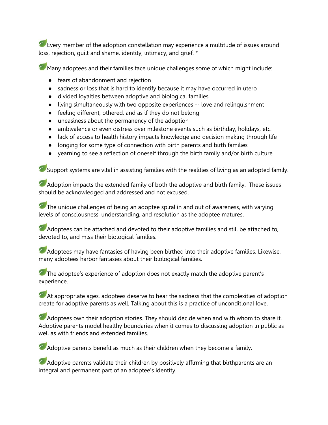Every member of the adoption constellation may experience a multitude of issues around loss, rejection, guilt and shame, identity, intimacy, and grief. \*

Many adoptees and their families face unique challenges some of which might include:

- fears of abandonment and rejection
- sadness or loss that is hard to identify because it may have occurred in utero
- divided loyalties between adoptive and biological families
- living simultaneously with two opposite experiences -- love and relinquishment
- feeling different, othered, and as if they do not belong
- uneasiness about the permanency of the adoption
- ambivalence or even distress over milestone events such as birthday, holidays, etc.
- lack of access to health history impacts knowledge and decision making through life
- longing for some type of connection with birth parents and birth families
- yearning to see a reflection of oneself through the birth family and/or birth culture

Support systems are vital in assisting families with the realities of living as an adopted family.

Adoption impacts the extended family of both the adoptive and birth family. These issues should be acknowledged and addressed and not excused.

The unique challenges of being an adoptee spiral in and out of awareness, with varying levels of consciousness, understanding, and resolution as the adoptee matures.

Adoptees can be attached and devoted to their adoptive families and still be attached to, devoted to, and miss their biological families.

Adoptees may have fantasies of having been birthed into their adoptive families. Likewise, many adoptees harbor fantasies about their biological families.

The adoptee's experience of adoption does not exactly match the adoptive parent's experience.

At appropriate ages, adoptees deserve to hear the sadness that the complexities of adoption create for adoptive parents as well. Talking about this is a practice of unconditional love.

Adoptees own their adoption stories. They should decide when and with whom to share it. Adoptive parents model healthy boundaries when it comes to discussing adoption in public as well as with friends and extended families.

Adoptive parents benefit as much as their children when they become a family.

Adoptive parents validate their children by positively affirming that birthparents are an integral and permanent part of an adoptee's identity.